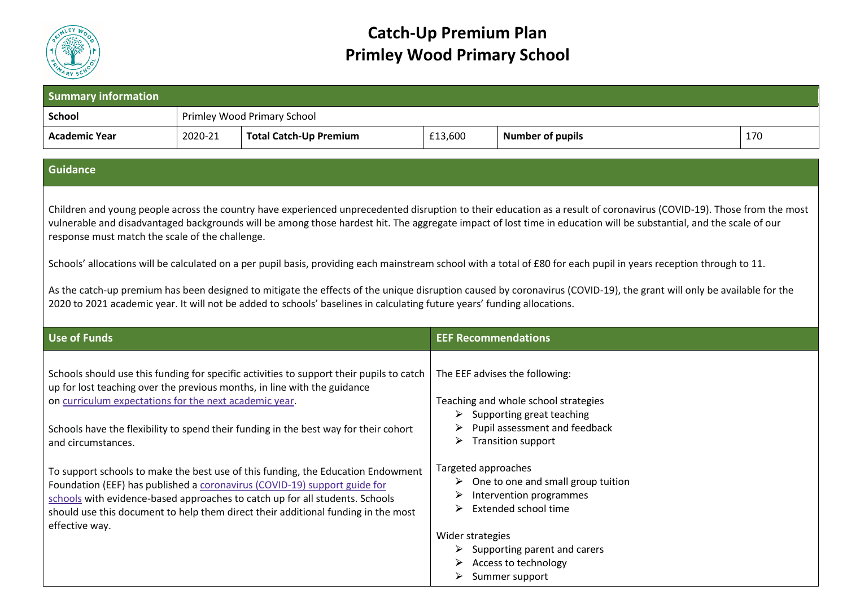

## **Catch-Up Premium Plan Primley Wood Primary School**

|         | Primley Wood Primary School   |                                                                                                                                                                                                                                                                                                                                                                                                                                                                                                                                                                                                                     |                                                                                               |                                                                                                                                                                                                                                                                                                                                                                                                                                                                                                                                                                                                                                                                                                                                                                                                                                                                                                                                                                                                                                                                                                                                                                                                                                                                                                             |
|---------|-------------------------------|---------------------------------------------------------------------------------------------------------------------------------------------------------------------------------------------------------------------------------------------------------------------------------------------------------------------------------------------------------------------------------------------------------------------------------------------------------------------------------------------------------------------------------------------------------------------------------------------------------------------|-----------------------------------------------------------------------------------------------|-------------------------------------------------------------------------------------------------------------------------------------------------------------------------------------------------------------------------------------------------------------------------------------------------------------------------------------------------------------------------------------------------------------------------------------------------------------------------------------------------------------------------------------------------------------------------------------------------------------------------------------------------------------------------------------------------------------------------------------------------------------------------------------------------------------------------------------------------------------------------------------------------------------------------------------------------------------------------------------------------------------------------------------------------------------------------------------------------------------------------------------------------------------------------------------------------------------------------------------------------------------------------------------------------------------|
| 2020-21 | <b>Total Catch-Up Premium</b> | £13,600                                                                                                                                                                                                                                                                                                                                                                                                                                                                                                                                                                                                             | <b>Number of pupils</b>                                                                       | 170                                                                                                                                                                                                                                                                                                                                                                                                                                                                                                                                                                                                                                                                                                                                                                                                                                                                                                                                                                                                                                                                                                                                                                                                                                                                                                         |
|         |                               |                                                                                                                                                                                                                                                                                                                                                                                                                                                                                                                                                                                                                     |                                                                                               |                                                                                                                                                                                                                                                                                                                                                                                                                                                                                                                                                                                                                                                                                                                                                                                                                                                                                                                                                                                                                                                                                                                                                                                                                                                                                                             |
|         |                               |                                                                                                                                                                                                                                                                                                                                                                                                                                                                                                                                                                                                                     |                                                                                               |                                                                                                                                                                                                                                                                                                                                                                                                                                                                                                                                                                                                                                                                                                                                                                                                                                                                                                                                                                                                                                                                                                                                                                                                                                                                                                             |
|         |                               |                                                                                                                                                                                                                                                                                                                                                                                                                                                                                                                                                                                                                     |                                                                                               |                                                                                                                                                                                                                                                                                                                                                                                                                                                                                                                                                                                                                                                                                                                                                                                                                                                                                                                                                                                                                                                                                                                                                                                                                                                                                                             |
|         |                               |                                                                                                                                                                                                                                                                                                                                                                                                                                                                                                                                                                                                                     |                                                                                               |                                                                                                                                                                                                                                                                                                                                                                                                                                                                                                                                                                                                                                                                                                                                                                                                                                                                                                                                                                                                                                                                                                                                                                                                                                                                                                             |
|         |                               | ➤<br>➤<br>➤                                                                                                                                                                                                                                                                                                                                                                                                                                                                                                                                                                                                         |                                                                                               |                                                                                                                                                                                                                                                                                                                                                                                                                                                                                                                                                                                                                                                                                                                                                                                                                                                                                                                                                                                                                                                                                                                                                                                                                                                                                                             |
|         |                               | response must match the scale of the challenge.<br>up for lost teaching over the previous months, in line with the guidance<br>on curriculum expectations for the next academic year.<br>Schools have the flexibility to spend their funding in the best way for their cohort<br>To support schools to make the best use of this funding, the Education Endowment<br>Foundation (EEF) has published a coronavirus (COVID-19) support guide for<br>schools with evidence-based approaches to catch up for all students. Schools<br>should use this document to help them direct their additional funding in the most | Schools should use this funding for specific activities to support their pupils to catch<br>➤ | Children and young people across the country have experienced unprecedented disruption to their education as a result of coronavirus (COVID-19). Those from the most<br>vulnerable and disadvantaged backgrounds will be among those hardest hit. The aggregate impact of lost time in education will be substantial, and the scale of our<br>Schools' allocations will be calculated on a per pupil basis, providing each mainstream school with a total of £80 for each pupil in years reception through to 11.<br>As the catch-up premium has been designed to mitigate the effects of the unique disruption caused by coronavirus (COVID-19), the grant will only be available for the<br>2020 to 2021 academic year. It will not be added to schools' baselines in calculating future years' funding allocations.<br><b>EEF Recommendations</b><br>The EEF advises the following:<br>Teaching and whole school strategies<br>$\triangleright$ Supporting great teaching<br>Pupil assessment and feedback<br><b>Transition support</b><br>Targeted approaches<br>$\triangleright$ One to one and small group tuition<br>$\triangleright$ Intervention programmes<br>Extended school time<br>Wider strategies<br>$\triangleright$ Supporting parent and carers<br>Access to technology<br>Summer support |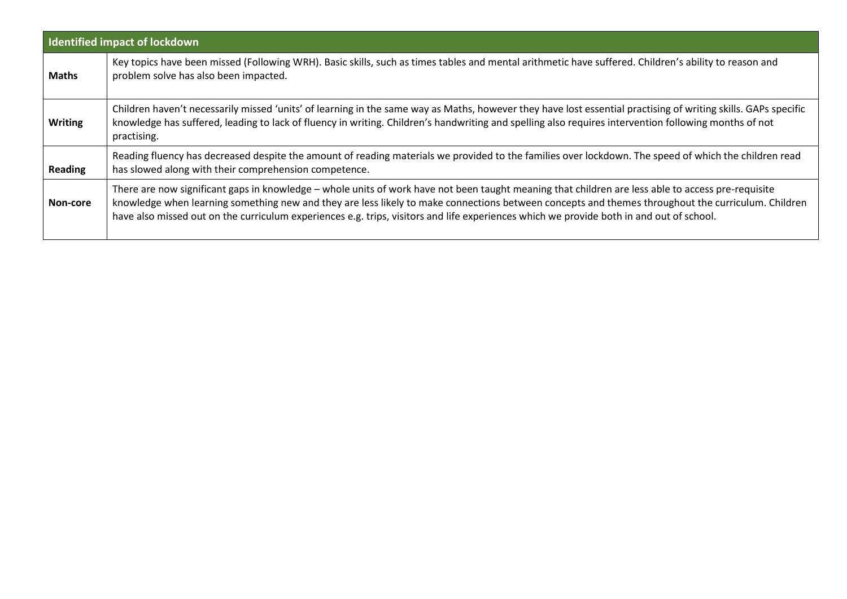|                | Identified impact of lockdown                                                                                                                                                                                                                                                                                                                                                                                                                        |
|----------------|------------------------------------------------------------------------------------------------------------------------------------------------------------------------------------------------------------------------------------------------------------------------------------------------------------------------------------------------------------------------------------------------------------------------------------------------------|
| <b>Maths</b>   | Key topics have been missed (Following WRH). Basic skills, such as times tables and mental arithmetic have suffered. Children's ability to reason and<br>problem solve has also been impacted.                                                                                                                                                                                                                                                       |
| <b>Writing</b> | Children haven't necessarily missed 'units' of learning in the same way as Maths, however they have lost essential practising of writing skills. GAPs specific<br>knowledge has suffered, leading to lack of fluency in writing. Children's handwriting and spelling also requires intervention following months of not<br>practising.                                                                                                               |
| <b>Reading</b> | Reading fluency has decreased despite the amount of reading materials we provided to the families over lockdown. The speed of which the children read<br>has slowed along with their comprehension competence.                                                                                                                                                                                                                                       |
| Non-core       | There are now significant gaps in knowledge - whole units of work have not been taught meaning that children are less able to access pre-requisite<br>knowledge when learning something new and they are less likely to make connections between concepts and themes throughout the curriculum. Children<br>have also missed out on the curriculum experiences e.g. trips, visitors and life experiences which we provide both in and out of school. |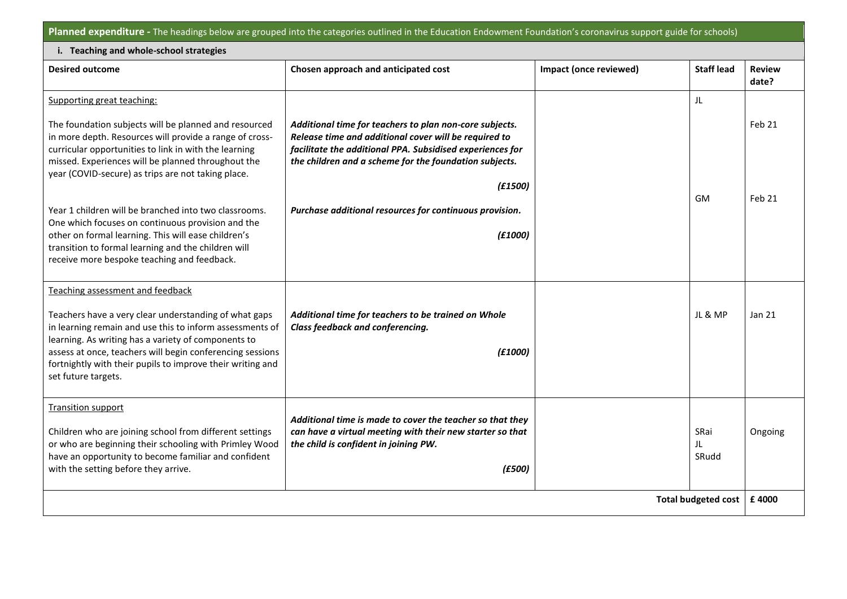**Planned expenditure -** The headings below are grouped into the categories outlined in the Education Endowment Foundation's coronavirus support guide for schools)

Π

| i. Teaching and whole-school strategies                                                                                                                                                                                                                                                                                    |                                                                                                                                                                                                                                                    |                        |                     |                        |  |
|----------------------------------------------------------------------------------------------------------------------------------------------------------------------------------------------------------------------------------------------------------------------------------------------------------------------------|----------------------------------------------------------------------------------------------------------------------------------------------------------------------------------------------------------------------------------------------------|------------------------|---------------------|------------------------|--|
| <b>Desired outcome</b>                                                                                                                                                                                                                                                                                                     | Chosen approach and anticipated cost                                                                                                                                                                                                               | Impact (once reviewed) | <b>Staff lead</b>   | <b>Review</b><br>date? |  |
| Supporting great teaching:                                                                                                                                                                                                                                                                                                 |                                                                                                                                                                                                                                                    |                        | JL                  |                        |  |
| The foundation subjects will be planned and resourced<br>in more depth. Resources will provide a range of cross-<br>curricular opportunities to link in with the learning<br>missed. Experiences will be planned throughout the<br>year (COVID-secure) as trips are not taking place.                                      | Additional time for teachers to plan non-core subjects.<br>Release time and additional cover will be required to<br>facilitate the additional PPA. Subsidised experiences for<br>the children and a scheme for the foundation subjects.<br>(E1500) |                        | <b>GM</b>           | Feb 21<br>Feb 21       |  |
| Year 1 children will be branched into two classrooms.<br>One which focuses on continuous provision and the<br>other on formal learning. This will ease children's<br>transition to formal learning and the children will<br>receive more bespoke teaching and feedback.                                                    | Purchase additional resources for continuous provision.<br>(f1000)                                                                                                                                                                                 |                        |                     |                        |  |
| Teaching assessment and feedback                                                                                                                                                                                                                                                                                           |                                                                                                                                                                                                                                                    |                        |                     |                        |  |
| Teachers have a very clear understanding of what gaps<br>in learning remain and use this to inform assessments of<br>learning. As writing has a variety of components to<br>assess at once, teachers will begin conferencing sessions<br>fortnightly with their pupils to improve their writing and<br>set future targets. | Additional time for teachers to be trained on Whole<br>Class feedback and conferencing.<br>(£1000)                                                                                                                                                 |                        | JL & MP             | <b>Jan 21</b>          |  |
| <b>Transition support</b><br>Children who are joining school from different settings<br>or who are beginning their schooling with Primley Wood<br>have an opportunity to become familiar and confident<br>with the setting before they arrive.                                                                             | Additional time is made to cover the teacher so that they<br>can have a virtual meeting with their new starter so that<br>the child is confident in joining PW.<br>(E500)                                                                          |                        | SRai<br>JL<br>SRudd | Ongoing                |  |
| <b>Total budgeted cost</b>                                                                                                                                                                                                                                                                                                 |                                                                                                                                                                                                                                                    |                        |                     |                        |  |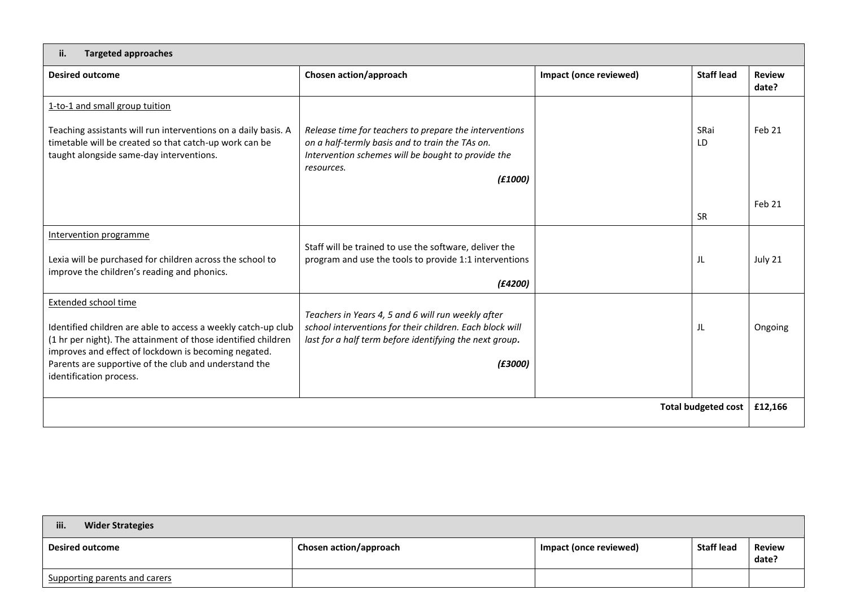## **ii. Targeted approaches**

| <b>Desired outcome</b>                                                                                                                                                                                                                                                     | Chosen action/approach                                                                                                                                                                   | Impact (once reviewed) | <b>Staff lead</b> | <b>Review</b><br>date? |  |
|----------------------------------------------------------------------------------------------------------------------------------------------------------------------------------------------------------------------------------------------------------------------------|------------------------------------------------------------------------------------------------------------------------------------------------------------------------------------------|------------------------|-------------------|------------------------|--|
| 1-to-1 and small group tuition                                                                                                                                                                                                                                             |                                                                                                                                                                                          |                        |                   |                        |  |
| Teaching assistants will run interventions on a daily basis. A<br>timetable will be created so that catch-up work can be<br>taught alongside same-day interventions.                                                                                                       | Release time for teachers to prepare the interventions<br>on a half-termly basis and to train the TAs on.<br>Intervention schemes will be bought to provide the<br>resources.<br>(f1000) |                        | SRai<br>LD        | Feb 21                 |  |
|                                                                                                                                                                                                                                                                            |                                                                                                                                                                                          |                        | <b>SR</b>         | Feb 21                 |  |
| Intervention programme                                                                                                                                                                                                                                                     |                                                                                                                                                                                          |                        |                   |                        |  |
| Lexia will be purchased for children across the school to<br>improve the children's reading and phonics.                                                                                                                                                                   | Staff will be trained to use the software, deliver the<br>program and use the tools to provide 1:1 interventions<br>(f4200)                                                              |                        | JL                | July 21                |  |
| Extended school time                                                                                                                                                                                                                                                       |                                                                                                                                                                                          |                        |                   |                        |  |
| Identified children are able to access a weekly catch-up club<br>(1 hr per night). The attainment of those identified children<br>improves and effect of lockdown is becoming negated.<br>Parents are supportive of the club and understand the<br>identification process. | Teachers in Years 4, 5 and 6 will run weekly after<br>school interventions for their children. Each block will<br>last for a half term before identifying the next group.<br>(£3000)     |                        | JL                | Ongoing                |  |
| <b>Total budgeted cost</b>                                                                                                                                                                                                                                                 |                                                                                                                                                                                          |                        |                   | £12,166                |  |
|                                                                                                                                                                                                                                                                            |                                                                                                                                                                                          |                        |                   |                        |  |

| iii.<br><b>Wider Strategies</b> |                               |                        |                   |                 |
|---------------------------------|-------------------------------|------------------------|-------------------|-----------------|
| <b>Desired outcome</b>          | <b>Chosen action/approach</b> | Impact (once reviewed) | <b>Staff lead</b> | Review<br>date? |
| Supporting parents and carers   |                               |                        |                   |                 |